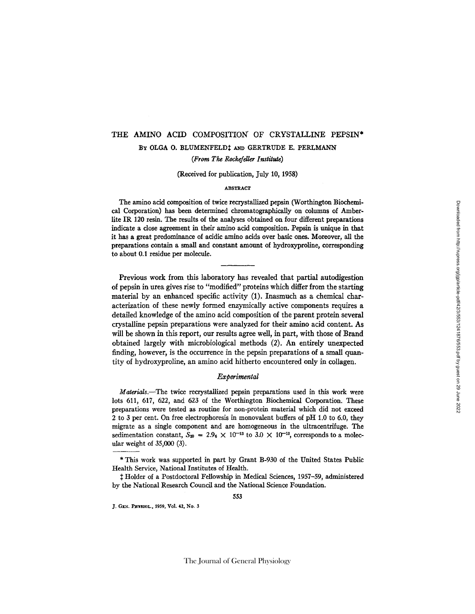# THE AMINO ACID COMPOSITION" OF CRYSTALLINE PEPSIN\* BY OLGA O. BLUMENFELD! AND GERTRUDE E. PERLMANN *(From The Rockefdler Institute)*

(Received for publication, July 10, 1958)

### ABSTRACT

The amino acid composition of twice recrystallized pepsin (Worthington Biochemical Corporation) has been determined chromatographicaUy on columns of Amberlite IR, 120 resin. The results of the analyses obtained on four different preparations indicate a close agreement in their amino acid composition. Pepsin is unique in that it has a great predominance of acidic amino acids over basic ones. Moreover, all the preparations contain a small and constant amount of hydroxyproline, corresponding to about 0.1 residue per molecule.

Previous work from this laboratory has revealed that partial autodigestion of pepsin in urea gives rise to "modified" proteins which differ from the starting material by an enhanced specific activity (1). Inasmuch as a chemical characterization of these newly formed enzymically active components requires a detailed knowledge of the amino acid composition of the parent protein several crystalline pepsin preparations were analyzed for their amino acid content. As will be shown in this report, our results agree well, in part, with those of Brand obtained largely with microbiological methods (2). An entirely unexpected finding, however, is the occurrence in the pepsin preparations of a small quantity of hydroxyproline, an amino acid hitherto encountered only in collagen.

# *Experimental*

*Materials.--The* twice recrystallized pepsin preparations used in this work were lots 611, 617, 622, and 623 of the Worthington Biochemical Corporation. These preparations were tested as routine for non-protein material which did not exceed 2 to 3 per cent. On free electrophoresis in monovalent buffers of pH 1.0 to 6.0, they migrate as a single component and are homogeneous in the ultracentrifuge. The sedimentation constant,  $S_{20} = 2.96 \times 10^{-13}$  to  $3.0 \times 10^{-13}$ , corresponds to a molecular weight of 35,000 (3).

Holder of a Postdoctoral Fellowship in Medical Sciences, 1937-59, administered by the National Research Council and the National Science Foundation.

J. GEN. PHYSIOL., 1959, Vol. 42, No. 3

<sup>\*</sup> This work was supported in part by Grant B-930 of the United States Public Health Service, National Institutes of Health.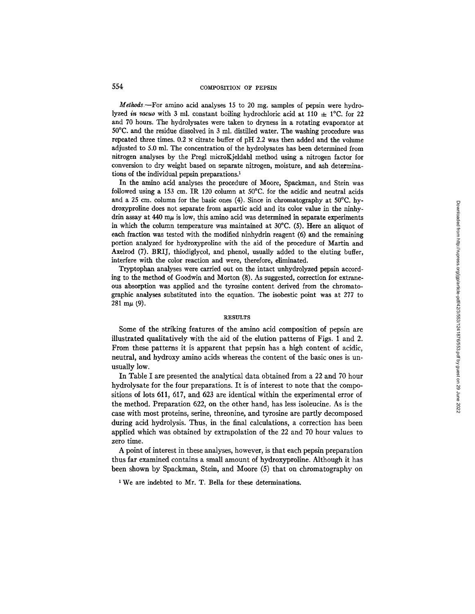# 554 COMPOSITION OF PEPSIN

*Methods--For* amino acid analyses 15 to 20 mg. samples of pepsin were hydrolyzed *in vacuo* with 3 ml. constant boiling hydrochloric acid at 110  $\pm$  1<sup>o</sup>C. for 22 and 70 hours. The hydrolysates were taken to dryness in a rotating evaporator at 50°C. and the residue dissolved in 3 ml. distilled water. The washing procedure was repeated three times.  $0.2~\text{N}$  citrate buffer of pH 2.2 was then added and the volume adjusted to 5.0 ml. The concentration of the hydrolysates has been determined from nitrogen analyses by the Pregl microKjeldahl method using a nitrogen factor for conversion to dry weight based on separate nitrogen, moisture, and ash determinations of the individual pepsin preparations.<sup>1</sup>

In the amino acid analyses the procedure of Moore, Spackman, and Stein was followed using a 153 cm. IR 120 column at 50°C. for the acidic and neutral acids and a 25 cm. column for the basic ones (4). Since in chromatography at  $50^{\circ}$ C. hydroxyproline does not separate from aspartic acid and its color value in the ninhydrin assay at  $440 \text{ m}\mu$  is low, this amino acid was determined in separate experiments in which the column temperature was maintained at 30°C. (5). Here an aliquot of each fraction was tested with the modified ninhydrin reagent (6) and the remaining portion analyzed for hydroxyproline with the aid of the procedure of Martin and Axelrod (7). BRIJ, thiodiglycol, and phenol, usually added to the eluting buffer, interfere with the color reaction and were, therefore, eliminated.

Tryptophan analyses were carried out on the intact unhydrolyzed pepsin according to the method of Goodwin and Morton (8). As suggested, correction for extraneous absorption was applied and the tyrosine content derived from the chromatographic analyses substituted into the equation. The isobestic point was at 277 to 281 m $\mu$  (9).

#### RESULTS

Some of the striking features of the amino acid composition of pepsin are illustrated qualitatively with the aid of the elution patterns of Figs. 1 and 2. From these patterns it is apparent that pepsin has a high content of acidic, neutral, and hydroxy amino acids whereas the content of the basic ones is unusually low.

In Table I are presented the analytical data obtained from a 22 and 70 hour hydrolysate for the four preparations. It is of interest to note that the compositions of lots 611, 617, and 623 are identical within the experimental error of the method. Preparation 622, on the other hand, has less isoleucine. As is the case with most proteins, serine, threonine, and tyrosine are partly decomposed during acid hydrolysis. Thus, in the final calculations, a correction has been applied which was obtained by extrapolation of the 22 and 70 hour values to zero time.

A point of interest in these analyses, however, is that each pepsin preparation thus far examined contains a small amount of hydroxyproline. Although it has been shown by Spackman, Stein, and Moore (5) that on chromatography on

1 We are indebted to Mr. T. Bella for these determinations.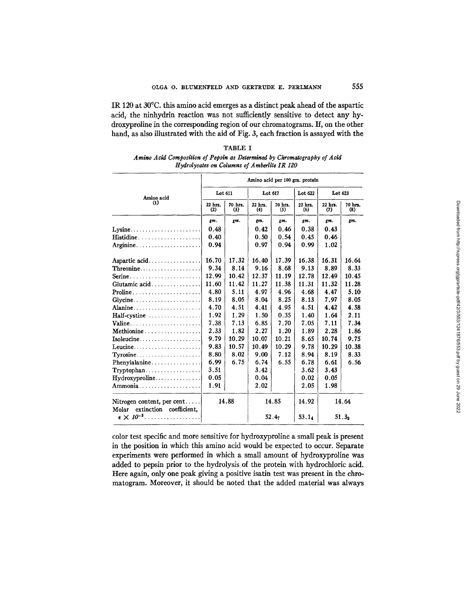IR 120 at 30°C. this amino acid emerges as a distinct peak ahead of the aspartic acid, the ninhydrin reaction was not sufificiently sensitive to detect any hydroxyproline in the corresponding region of our chromatograms. If, on the other hand, as also illustrated with the aid of Fig. 3, each fraction is assayed with the

| TABLE I                                                                  |
|--------------------------------------------------------------------------|
| Amino Acid Composition of Pepsin as Determined by Chromatography of Acid |
| Hydrolysates on Columns of Amberlite IR 120                              |

|                                                                    | Amino acid per 100 gm. protein |                |                |                |                |                   |                             |  |
|--------------------------------------------------------------------|--------------------------------|----------------|----------------|----------------|----------------|-------------------|-----------------------------|--|
| Amino acid<br>$\bf(1)$                                             | Lot 611                        |                | Lot 617        |                | Lot 622        | Lot 623           |                             |  |
|                                                                    | 22 hrs.<br>(2)                 | 70 hrs.<br>(3) | 22 hrs.<br>(4) | 70 hrs.<br>(5) | 22 hrs.<br>(6) | 22 hrs.<br>(7)    | 70 hrs.<br>$\left(3\right)$ |  |
|                                                                    | gm.                            | gm.            | zт.            | gm.            | gm.            | gm.               | gm.                         |  |
| $Lvsine$                                                           | 0.48                           |                | 0.42           | 0.46           | 0.38           | 0.43              |                             |  |
| $\textbf{Histidine} \dots \dots \dots \dots \dots \dots \dots$     | 0.40                           |                | 0.50           | 0.54           | 0.45           | 0.46              |                             |  |
| Arginine                                                           | 0.94                           |                | 0.97           | 0.94           | 0.99           | 1.02              |                             |  |
| Aspartic acid                                                      | 16.70                          | 17.32          | 16.40          | 17.39          | 16.38          | 16.31             | 16.64                       |  |
|                                                                    | 9.34                           | 8.14           | 9.16           | 8.68           | 9.13           | 8.89              | 8.33                        |  |
| Serine                                                             | 12.99                          | 10.42          | 12.37          | 11.19          | 12.78          | 12.49             | 10.45                       |  |
| Glutamic acid                                                      | 11.60                          | 11.42          | 11.27          | 11.38          | 11.31          | 11.32             | 11.28                       |  |
| $\textbf{Proline} \dots \dots \dots \dots \dots \dots \dots \dots$ | 4.80                           | 5.11           | 4.97           | 4.96           | 4.68           | 4.47              | 5.10                        |  |
| $Glycine$                                                          | 8.19                           | 8.05           | 8.04           | 8.25           | 8.13           | 7.97              | 8.05                        |  |
| Alanine                                                            | 4.70                           | 4.51           | 4.41           | 4.95           | 4.51           | 4.42              | 4.58                        |  |
|                                                                    | 1.92                           | 1.29           | 1.50           | 0.35           | 1.40           | 1.64              | 2.11                        |  |
| Valine                                                             | 7.38                           | 7.13           | 6.85           | 7.70           | 7.05           | 7.11              | 7.34                        |  |
| Methionine                                                         | 2.33                           | 1.82           | 2.27           | 1.20           | 1.89           | 2.28              | 1.86                        |  |
| Isoleucine                                                         | 9.79                           | 10.29          | 10.07          | 10.21          | 8.65           | 10.74             | 9.75                        |  |
| Leucine                                                            | 9.83                           | 10.57          | 10.49          | 10.29          | 9.78           | 10.29             | 10.38                       |  |
| $Tvrosine \ldots \ldots \ldots \ldots$                             | 8.80                           | 8.02           | 9.00           | 7.12           | 8.94           | 8.19              | 8.33                        |  |
| Phenylalanine                                                      | 6.99                           | 6.75           | 6.74           | 6.55           | 6.78           | 6.61              | 6.56                        |  |
| $Tryptophan. \ldots \ldots \ldots \ldots \ldots$                   | 3.51                           |                | 3.42           |                | 3.62           | 3.43              |                             |  |
|                                                                    | 0.05                           |                | 0.04           |                | 0.02           | 0.05              |                             |  |
| Ammonia                                                            | 1.91                           |                | 2.02           |                | 2.05           | 1.98              |                             |  |
| Nitrogen content, per cent<br>extinction coefficient.<br>Molar     | 14.88                          |                | 14.85          |                | 14.92          | 14.64             |                             |  |
| $\epsilon \times 10^{-3}$                                          |                                |                | 52.47          |                | 53.14          | 51.3 <sub>o</sub> |                             |  |

color test specific and more sensitive for hydroxyproline a small peak is present in the position in which this amino acid would be expected to occur. Separate experiments were performed in which a small amount of hydroxyproline was added to pepsin prior to the hydrolysis of the protein with hydrochloric acid. Here again, only one peak giving a positive isatin test was present in the chromatogram. Moreover, it should be noted that the added material was always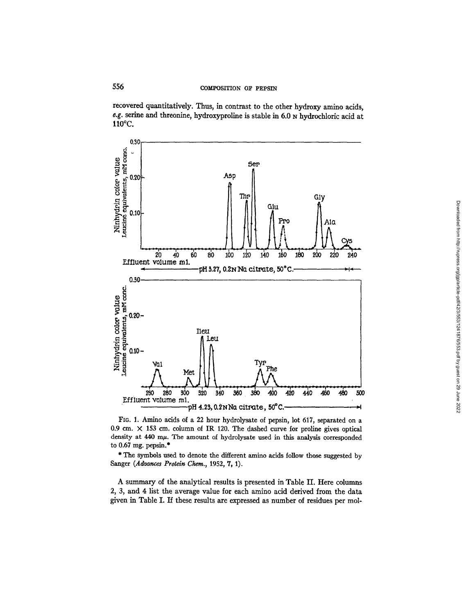recovered quantitatively. Thus, in contrast to the other hydroxy amino acids, *e.g.* serine and threonine, hydroxyproline is stable in 6.0 N hydrochloric acid at 110°C.



FIG. 1. Amino acids of a 22 hour hydrolysate of pepsin, lot 617, separated on a 0.9 cm.  $\times$  153 cm. column of IR 120. The dashed curve for proline gives optical density at 440 mµ. The amount of hydrolysate used in this analysis corresponded to  $0.67$  mg. pepsin.\*

\* The symbols used to denote the different amino acids follow those suggested by Sanger (Advances Protein Chem., 1952, 7, 1).

A summary of the analytical results is presented in Table II. Here columns 2, 3, and 4 list the average value for each amino acid derived from the data given in Table I. If these results are expressed as number of residues per mol-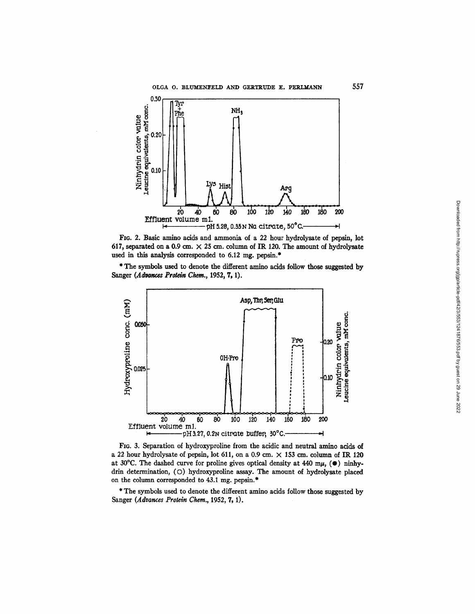

FIG. 2. Basic amino acids and ammonia of a 22 hour hydrolysate of pepsin, lot 617, separated on a 0.9 cm.  $\times$  25 cm. column of IR 120. The amount of hydrolysate used in this analysis corresponded to 6.12 mg. pepsin.\*

\* The symbols used to denote the different amino acids follow those suggested by Sanger *(Advances Protein* Chem., 1952, 7, 1).



FIG. 3. Separation of hydroxyproline from the acidic and neutral amino acids of a 22 hour hydrolysate of pepsin, lot 611, on a 0.9 cm.  $\times$  153 cm. column of IR 120 at 30°C. The dashed curve for proline gives optical density at 440 m $\mu$ , ( $\bullet$ ) ninhydrin determination, (O) hydroxyproline assay. The amount of hydrolysate placed on the column corresponded to 43.1 mg. pepsin.\*

\* The symbols used to denote the different amino acids follow those suggested by Sanger *(Advances Protein Chem.*, 1952, 7, 1).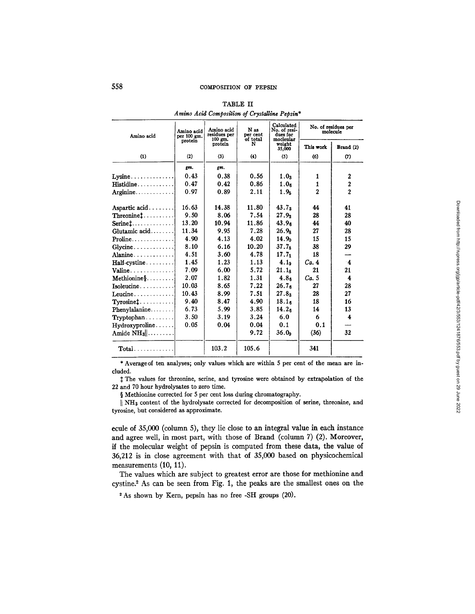| Amino acid                                                | Amino acid<br>per 100 gm.<br>protein | Amino acid<br>residues per<br>$100$ gm.<br>protein | N as<br>per cent<br>of total<br>N | Calculated<br>No. of resi-<br>dues for<br>mocleular | No. of residues per<br>molecule |                         |
|-----------------------------------------------------------|--------------------------------------|----------------------------------------------------|-----------------------------------|-----------------------------------------------------|---------------------------------|-------------------------|
|                                                           |                                      |                                                    |                                   | weight<br>35,000                                    | This work                       | Brand (2)               |
| (1)                                                       | (2)                                  | (3)                                                | (4)                               | (5)                                                 | (6)                             | (7)                     |
|                                                           | gm.                                  | gm.                                                |                                   |                                                     |                                 |                         |
| Lysine                                                    | 0.43                                 | 0.38                                               | 0.56                              | 1.0 <sub>3</sub>                                    | 1                               | 2                       |
| $\mathbf{H}\mathbf{is}$ tidine $\ldots\ldots\ldots\ldots$ | 0.47                                 | 0.42                                               | 0.86                              | 1.0 <sub>6</sub>                                    | $\mathbf{1}$                    | $\overline{\mathbf{c}}$ |
| Arginine                                                  | 0.97                                 | 0.89                                               | 2.11                              | 1.9 <sub>5</sub>                                    | $\overline{2}$                  | $\overline{2}$          |
| Aspartic acid.                                            | 16.63                                | 14.38                                              | 11.80                             | 43.7 <sub>3</sub>                                   | 44                              | 41                      |
| $\mathtt{Threoninet} \dots \dots \dots$                   | 9.50                                 | 8.06                                               | 7.54                              | 27.9 <sub>2</sub>                                   | 28                              | 28                      |
| $\textbf{Serine1} \dots \dots \dots \dots$                | 13.20                                | 10.94                                              | 11.86                             | 43.9 <sub>6</sub>                                   | 44                              | 40                      |
| Glutamic acid                                             | 11.34                                | 9.95                                               | 7.28                              | $26.9_{8}$                                          | 27                              | 28                      |
| $\textbf{Proline} \dots \dots \dots \dots \dots$          | 4.90                                 | 4.13                                               | 4.02                              | 14.9 <sub>0</sub>                                   | 15                              | 15                      |
|                                                           | 8.10                                 | 6.16                                               | 10.20                             | 37.78                                               | 38                              | 29                      |
| Alanine                                                   | 4.51                                 | 3.60                                               | 4.78                              | $17.7_1$                                            | 18                              |                         |
| $\textbf{Half-cystine} \dots \dots \dots$                 | 1.45                                 | 1.23                                               | 1.13                              | 4.1 <sub>9</sub>                                    | Ca.4                            | $-4$                    |
| $Valine \ldots  \ldots$                                   | 7.09                                 | 6.00                                               | 5.72                              | 21.1 <sub>8</sub>                                   | 21                              | 21                      |
| $Methodine28$                                             | 2.07                                 | 1.82                                               | 1.31                              | 4.8 <sub>6</sub>                                    | Ca.5                            | 4                       |
| Isoleucine                                                | 10.03                                | 8.65                                               | 7.22                              | 26.7 <sub>g</sub>                                   | 27                              | 28                      |
| Leucine                                                   | 10.43                                | 8.99                                               | 7.51                              | 27.8 <sub>3</sub>                                   | 28                              | 27                      |
| Tyrosine1                                                 | 9.40                                 | 8.47                                               | 4.90                              | 18.1 <sub>6</sub>                                   | 18                              | 16                      |
| Phenylalanine                                             | 6.73                                 | 5.99                                               | 3.85                              | 14.2 <sub>6</sub>                                   | 14                              | 13                      |
| $Tryptophan. \ldots$                                      | 3.50                                 | 3.19                                               | 3.24                              | 6.0                                                 | 6                               | 4                       |
| Hydroxyproline                                            | 0.05                                 | 0.04                                               | 0.04                              | 0.1                                                 | 0.1                             |                         |
| Amide $NH_3$                                              |                                      |                                                    | 9.72                              | 36.0 <sub>9</sub>                                   | (36)                            | 32                      |
| $Total$                                                   |                                      | 103.2                                              | 105.6                             |                                                     | 341                             |                         |

TABLE II *Amino Acid Composition of Crystalline Pepsin\** 

\* Averageof ten analyses; only values which are within 5 per cent of the mean are included.

The values for threonine, serine, and tyrosine were obtained by extrapolation of the 22 and 70 hour hydrolysates to zero time.

§ Methionine corrected for 5 per cent loss during chromatography.

|| NH<sub>3</sub> content of the hydrolysate corrected for decomposition of serine, threonine, and tyrosine, but considered as approximate.

ecule of 35,000 (column 5), they lie close to an integral value in each instance and agree well, in most part, with those of Brand (column 7) (2). Moreover, if the molecular weight of pepsin is computed from these data, the value of 36,212 is in close agreement with that of 35,000 based on physicochemical measurements (10, 11).

The values which are subject to greatest error are those for methionine and cystine? As can be seen from Fig. 1, the peaks are the smallest ones on the

2 As shown by Kern, pepsin has no free -SH groups (20).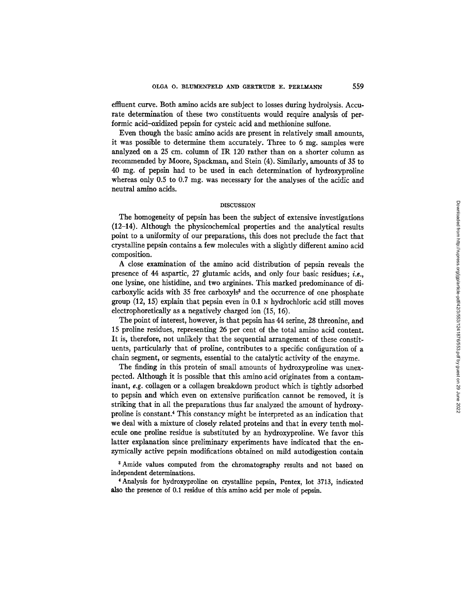effluent curve. Both amino acids are subject to losses during hydrolysis. Accurate determination of these two constituents would require analysis of performic acid-oxidized pepsin for cysteic acid and methionine sulfone.

Even though the basic amino acids are present in relatively small amounts, it was possible to determine them accurately. Three to 6 mg. samples were analyzed on a 25 cm. column of IR 120 rather than on a shorter column as recommended by Moore, Spackman, and Stein (4). Similarly, amounts of 35 to 40 mg. of pepsin had to be used in each determination of hydroxyproline whereas only 0.5 to 0.7 mg. was necessary for the analyses of the acidic and neutral amino acids.

# **DISCUSSION**

The homogeneity of pepsin has been the subject of extensive investigations (12-14). Although the physicochemical properties and the analytical results point to a uniformity of our preparations, this does not preclude the fact that crystalline pepsin contains a few molecules with a slightly different amino acid composition.

A close examination of the amino acid distribution of pepsin reveals the presence of 44 aspartic, 27 glutamic acids, and only four basic residues; *i.e.,*  one lysine, one histidine, and two arginines. This marked predominance of dicarboxylic acids with 35 free carboxyls<sup>3</sup> and the occurrence of one phosphate group  $(12, 15)$  explain that pepsin even in 0.1  $\mu$  hydrochloric acid still moves electrophoretically as a negatively charged ion (15, 16).

The point of interest, however, is that pepsin has 44 serine, 28 threonine, and 15 proline residues, representing 26 per cent of the total amino acid content. It is, therefore, not unlikely that the sequential arrangement of these constituents, particularly that of proline, contributes to a specific configuration of a chain segment, or segments, essential to the catalytic activity of the enzyme.

The finding in this protein of small amounts of hydroxyproline was unexpected. Although it is possible that this amino acid originates from a contaminant, *e.g.* collagen or a collagen breakdown product which is tightly adsorbed to pepsin and which even on extensive purification cannot be removed, it is striking that in all the preparations thus far analyzed the amount of hydroxyproline is constant.<sup>4</sup> This constancy might be interpreted as an indication that we deal with a mixture of closely related proteins and that in every tenth molecule one proline residue is substituted by an hydroxyproline. We favor this latter explanation since preliminary experiments have indicated that the enzymically active pepsin modifications obtained on mild autodigestion contain

<sup>8</sup> Amide values computed from the chromatography results and not based on independent determinations.

4 Analysis for hydroxyproline on crystalline pepsin, Pentex, lot 3713, indicated also the presence of 0.1 residue of this amino acid per mole of pepsin.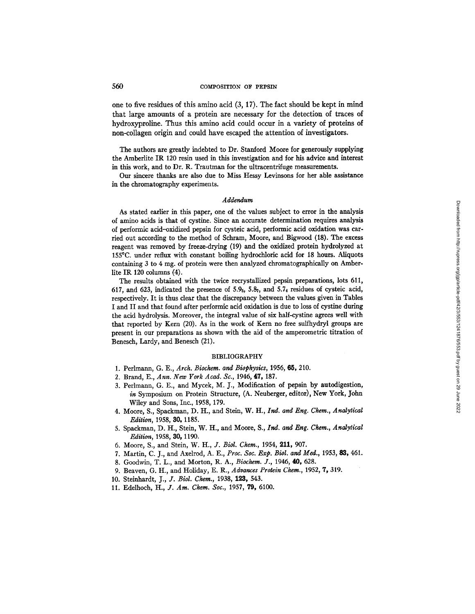## 560 COMPOSITION OF PEPSIN

one to five residues of this amino acid (3, 17). The fact should be kept in mind that large amounts of a protein are necessary for the detection of traces of hydroxyproline. Thus this amino acid could occur in a variety of proteins of non-collagen origin and could have escaped the attention of investigators.

The authors are greatly indebted to Dr. Stanford Moore for generously supplying the Amberlite IR 120 resin used in this investigation and for his advice and interest in this work, and to Dr. R. Trautman for the ultracentrifuge measurements.

Our sincere thanks are also due to Miss Hessy Levinsons for her able assistance in the chromatography experiments.

## *Addendum*

As stated earlier in this paper, one of the values subject to error in the analysis of amino acids is that of cystine. Since an accurate determination requires analysis of performic acid-oxidized pepsin for cysteic acid, performic acid oxidation was carried out according to the method of Schram, Moore, and Bigwood (18). The excess reagent was removed by freeze-drying (19) and the oxidized protein hydrolyzed at 155°C. under reflux with constant boiling hydrochloric acid for 18 hours. Aliquots containing 3 to 4 mg. of protein were then analyzed chromatographically on Amberlite IR 120 columns (4).

The results obtained with the twice recrystallized pepsin preparations, lots 611, 617, and 623, indicated the presence of  $5.9<sub>5</sub>$ ,  $5.8<sub>7</sub>$ , and  $5.7<sub>4</sub>$  residues of cysteic acid, respectively. It is thus clear that the discrepancy between the values given in Tables I and II and that found after performic acid oxidation is due to loss of cystine during the acid hydrolysis. Moreover, the integral value of six half-cystine agrees well with that reported by Kern (20). As in the work of Kern no free sulfhydryl groups are present in our preparations as shown with the aid of the amperometric titration of Benesch, Lardy, and Benesch (21).

## BIBLIOGRAPHY

- 1. Perlmann, G. E., *Arch. Biochem. and Biophysics,* 1955, **65,** 210.
- 2. Brand, E., *Ann. New York Acad. Sc.,* 1946, 47, 187.
- 3. Peflmann, G. E., and Mycek, M. J., Modification of pepsin by autodigestion, in Symposium on Protein Structure, (A. Neuberger, editor), New York, John Wiley and Sons, Inc., 1958, 179.
- 4. Moore, S., Spackman, D. H., and Stein, *W. H., Ind. and Eng. Chem., Analytical Edition,* 1958, 30, 1185.
- 5. Spackman, D. H., Stein, W. H., and Moore, *S., Ind. and Eng. Ctw, m., Analytical Edition,* 1958, SO, 1190.
- 6. Moore, S., and Stein, W. H., *J. Biol. Chem.,* 1954, 211, 907.
- 7. Martin, C. J., and Axelrod, A. E., *Proc. Soc. Exp. Biol. and Med.,* 1953, 83, 461.
- 8. Goodwin, T. *L.,* and Morton, R. A., *Biochem. J.,* 1946, 40, 628.
- 9. Beaven, G. H., and Holiday, E. R., *Advances Protein Chem.,* 1952, 7, 319.
- 10. Steinhardt, J., *J. Biol. Chem.,* 1938, 123, 543.
- 11. Edelhoch, *H., J. Am. Chem. Soc.,* 1957, 79, 6100.